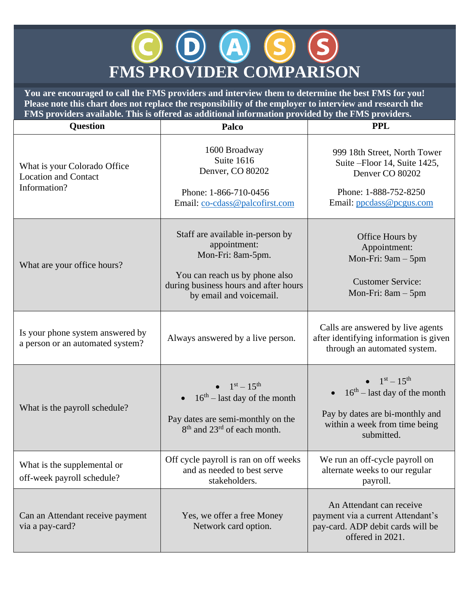## **FMS PROVIDER COMPARISON**

**You are encouraged to call the FMS providers and interview them to determine the best FMS for you! Please note this chart does not replace the responsibility of the employer to interview and research the FMS providers available. This is offered as additional information provided by the FMS providers.**

| <b>Question</b>                                                             | Palco                                                                                                                                                                       | <b>PPL</b>                                                                                                                               |
|-----------------------------------------------------------------------------|-----------------------------------------------------------------------------------------------------------------------------------------------------------------------------|------------------------------------------------------------------------------------------------------------------------------------------|
| What is your Colorado Office<br><b>Location and Contact</b><br>Information? | 1600 Broadway<br>Suite 1616<br>Denver, CO 80202<br>Phone: 1-866-710-0456<br>Email: co-cdass@palcofirst.com                                                                  | 999 18th Street, North Tower<br>Suite - Floor 14, Suite 1425,<br>Denver CO 80202<br>Phone: 1-888-752-8250<br>Email: ppcdass@pcgus.com    |
| What are your office hours?                                                 | Staff are available in-person by<br>appointment:<br>Mon-Fri: 8am-5pm.<br>You can reach us by phone also<br>during business hours and after hours<br>by email and voicemail. | Office Hours by<br>Appointment:<br>Mon-Fri: $9am - 5pm$<br><b>Customer Service:</b><br>Mon-Fri: $8am - 5pm$                              |
| Is your phone system answered by<br>a person or an automated system?        | Always answered by a live person.                                                                                                                                           | Calls are answered by live agents<br>after identifying information is given<br>through an automated system.                              |
| What is the payroll schedule?                                               | • $1^{st} - 15^{th}$<br>$16th$ – last day of the month<br>Pay dates are semi-monthly on the<br>8 <sup>th</sup> and 23 <sup>rd</sup> of each month.                          | • $1^{st} - 15^{th}$<br>$16th$ – last day of the month<br>Pay by dates are bi-monthly and<br>within a week from time being<br>submitted. |
| What is the supplemental or<br>off-week payroll schedule?                   | Off cycle payroll is ran on off weeks<br>and as needed to best serve<br>stakeholders.                                                                                       | We run an off-cycle payroll on<br>alternate weeks to our regular<br>payroll.                                                             |
| Can an Attendant receive payment<br>via a pay-card?                         | Yes, we offer a free Money<br>Network card option.                                                                                                                          | An Attendant can receive<br>payment via a current Attendant's<br>pay-card. ADP debit cards will be<br>offered in 2021.                   |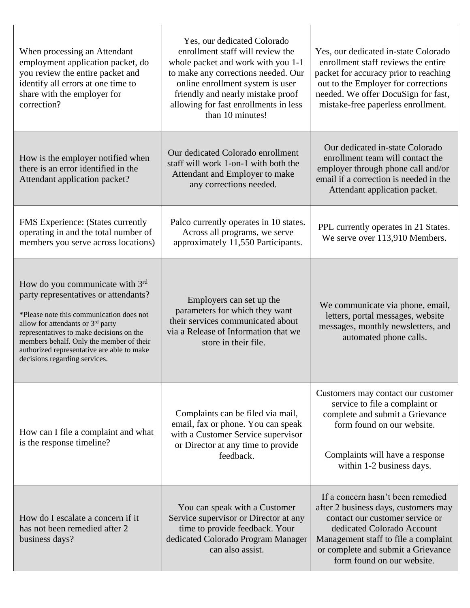| When processing an Attendant<br>employment application packet, do<br>you review the entire packet and<br>identify all errors at one time to<br>share with the employer for<br>correction?                                                                                                                                                     | Yes, our dedicated Colorado<br>enrollment staff will review the<br>whole packet and work with you 1-1<br>to make any corrections needed. Our<br>online enrollment system is user<br>friendly and nearly mistake proof<br>allowing for fast enrollments in less<br>than 10 minutes! | Yes, our dedicated in-state Colorado<br>enrollment staff reviews the entire<br>packet for accuracy prior to reaching<br>out to the Employer for corrections<br>needed. We offer DocuSign for fast,<br>mistake-free paperless enrollment.               |
|-----------------------------------------------------------------------------------------------------------------------------------------------------------------------------------------------------------------------------------------------------------------------------------------------------------------------------------------------|------------------------------------------------------------------------------------------------------------------------------------------------------------------------------------------------------------------------------------------------------------------------------------|--------------------------------------------------------------------------------------------------------------------------------------------------------------------------------------------------------------------------------------------------------|
| How is the employer notified when<br>there is an error identified in the<br>Attendant application packet?                                                                                                                                                                                                                                     | Our dedicated Colorado enrollment<br>staff will work 1-on-1 with both the<br>Attendant and Employer to make<br>any corrections needed.                                                                                                                                             | Our dedicated in-state Colorado<br>enrollment team will contact the<br>employer through phone call and/or<br>email if a correction is needed in the<br>Attendant application packet.                                                                   |
| <b>FMS</b> Experience: (States currently<br>operating in and the total number of<br>members you serve across locations)                                                                                                                                                                                                                       | Palco currently operates in 10 states.<br>Across all programs, we serve<br>approximately 11,550 Participants.                                                                                                                                                                      | PPL currently operates in 21 States.<br>We serve over 113,910 Members.                                                                                                                                                                                 |
| How do you communicate with $3rd$<br>party representatives or attendants?<br>*Please note this communication does not<br>allow for attendants or 3 <sup>rd</sup> party<br>representatives to make decisions on the<br>members behalf. Only the member of their<br>authorized representative are able to make<br>decisions regarding services. | Employers can set up the<br>parameters for which they want<br>their services communicated about<br>via a Release of Information that we<br>store in their file.                                                                                                                    | We communicate via phone, email,<br>letters, portal messages, website<br>messages, monthly newsletters, and<br>automated phone calls.                                                                                                                  |
| How can I file a complaint and what<br>is the response timeline?                                                                                                                                                                                                                                                                              | Complaints can be filed via mail,<br>email, fax or phone. You can speak<br>with a Customer Service supervisor<br>or Director at any time to provide<br>feedback.                                                                                                                   | Customers may contact our customer<br>service to file a complaint or<br>complete and submit a Grievance<br>form found on our website.<br>Complaints will have a response<br>within 1-2 business days.                                                  |
| How do I escalate a concern if it<br>has not been remedied after 2<br>business days?                                                                                                                                                                                                                                                          | You can speak with a Customer<br>Service supervisor or Director at any<br>time to provide feedback. Your<br>dedicated Colorado Program Manager<br>can also assist.                                                                                                                 | If a concern hasn't been remedied<br>after 2 business days, customers may<br>contact our customer service or<br>dedicated Colorado Account<br>Management staff to file a complaint<br>or complete and submit a Grievance<br>form found on our website. |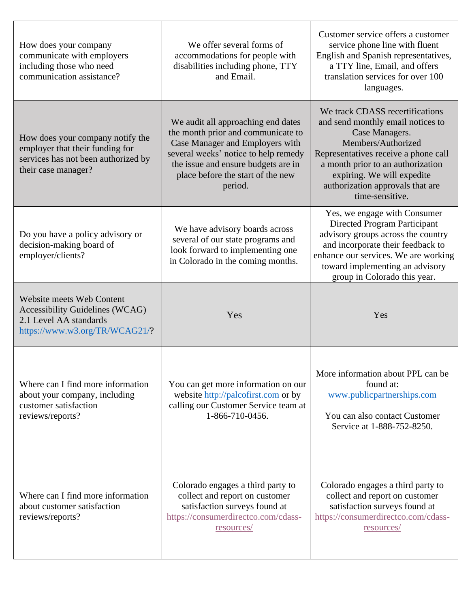| How does your company<br>communicate with employers<br>including those who need<br>communication assistance?                      | We offer several forms of<br>accommodations for people with<br>disabilities including phone, TTY<br>and Email.                                                                                                                             | Customer service offers a customer<br>service phone line with fluent<br>English and Spanish representatives,<br>a TTY line, Email, and offers<br>translation services for over 100<br>languages.                                                                               |
|-----------------------------------------------------------------------------------------------------------------------------------|--------------------------------------------------------------------------------------------------------------------------------------------------------------------------------------------------------------------------------------------|--------------------------------------------------------------------------------------------------------------------------------------------------------------------------------------------------------------------------------------------------------------------------------|
| How does your company notify the<br>employer that their funding for<br>services has not been authorized by<br>their case manager? | We audit all approaching end dates<br>the month prior and communicate to<br>Case Manager and Employers with<br>several weeks' notice to help remedy<br>the issue and ensure budgets are in<br>place before the start of the new<br>period. | We track CDASS recertifications<br>and send monthly email notices to<br>Case Managers.<br>Members/Authorized<br>Representatives receive a phone call<br>a month prior to an authorization<br>expiring. We will expedite<br>authorization approvals that are<br>time-sensitive. |
| Do you have a policy advisory or<br>decision-making board of<br>employer/clients?                                                 | We have advisory boards across<br>several of our state programs and<br>look forward to implementing one<br>in Colorado in the coming months.                                                                                               | Yes, we engage with Consumer<br>Directed Program Participant<br>advisory groups across the country<br>and incorporate their feedback to<br>enhance our services. We are working<br>toward implementing an advisory<br>group in Colorado this year.                             |
| Website meets Web Content<br><b>Accessibility Guidelines (WCAG)</b><br>2.1 Level AA standards<br>https://www.w3.org/TR/WCAG21/?   | Yes                                                                                                                                                                                                                                        | Yes                                                                                                                                                                                                                                                                            |
| Where can I find more information<br>about your company, including<br>customer satisfaction<br>reviews/reports?                   | You can get more information on our<br>website http://palcofirst.com or by<br>calling our Customer Service team at<br>1-866-710-0456.                                                                                                      | More information about PPL can be<br>found at:<br>www.publicpartnerships.com<br>You can also contact Customer<br>Service at 1-888-752-8250.                                                                                                                                    |
| Where can I find more information<br>about customer satisfaction<br>reviews/reports?                                              | Colorado engages a third party to<br>collect and report on customer<br>satisfaction surveys found at<br>https://consumerdirectco.com/cdass-<br><u>resources/</u>                                                                           | Colorado engages a third party to<br>collect and report on customer<br>satisfaction surveys found at<br>https://consumerdirectco.com/cdass-<br><u>resources/</u>                                                                                                               |